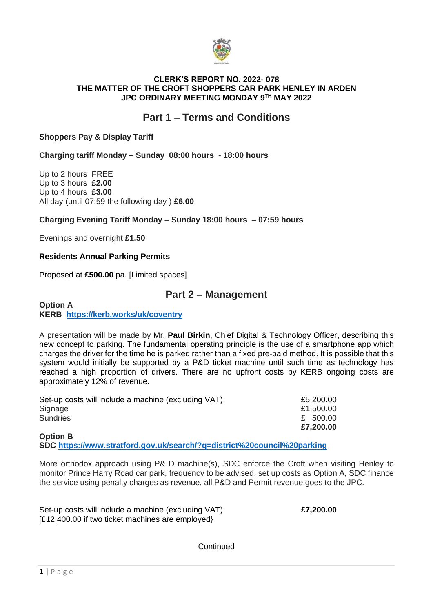

### **CLERK'S REPORT NO. 2022- 078 THE MATTER OF THE CROFT SHOPPERS CAR PARK HENLEY IN ARDEN JPC ORDINARY MEETING MONDAY 9TH MAY 2022**

# **Part 1 – Terms and Conditions**

## **Shoppers Pay & Display Tariff**

**Charging tariff Monday – Sunday 08:00 hours - 18:00 hours**

Up to 2 hours FREE Up to 3 hours **£2.00** Up to 4 hours **£3.00** All day (until 07:59 the following day ) **£6.00**

## **Charging Evening Tariff Monday – Sunday 18:00 hours – 07:59 hours**

Evenings and overnight **£1.50**

## **Residents Annual Parking Permits**

Proposed at **£500.00** pa. [Limited spaces]

## **Part 2 – Management**

#### **Option A KERB <https://kerb.works/uk/coventry>**

A presentation will be made by Mr. **Paul Birkin**, Chief Digital & Technology Officer, describing this new concept to parking. The fundamental operating principle is the use of a smartphone app which charges the driver for the time he is parked rather than a fixed pre-paid method. It is possible that this system would initially be supported by a P&D ticket machine until such time as technology has reached a high proportion of drivers. There are no upfront costs by KERB ongoing costs are approximately 12% of revenue.

| Set-up costs will include a machine (excluding VAT) | £5,200.00 |
|-----------------------------------------------------|-----------|
| Signage                                             | £1,500.00 |
| <b>Sundries</b>                                     | £ 500.00  |
|                                                     | £7,200.00 |

## **Option B SDC <https://www.stratford.gov.uk/search/?q=district%20council%20parking>**

More orthodox approach using P& D machine(s), SDC enforce the Croft when visiting Henley to monitor Prince Harry Road car park, frequency to be advised, set up costs as Option A, SDC finance the service using penalty charges as revenue, all P&D and Permit revenue goes to the JPC.

Set-up costs will include a machine (excluding VAT) **£7,200.00**  [£12,400.00 if two ticket machines are employed}

**Continued**